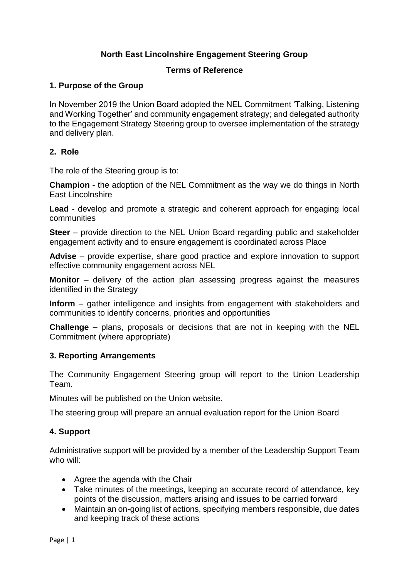# **North East Lincolnshire Engagement Steering Group**

### **Terms of Reference**

### **1. Purpose of the Group**

In November 2019 the Union Board adopted the NEL Commitment 'Talking, Listening and Working Together' and community engagement strategy; and delegated authority to the Engagement Strategy Steering group to oversee implementation of the strategy and delivery plan.

#### **2. Role**

The role of the Steering group is to:

**Champion** - the adoption of the NEL Commitment as the way we do things in North East Lincolnshire

**Lead** - develop and promote a strategic and coherent approach for engaging local communities

**Steer** – provide direction to the NEL Union Board regarding public and stakeholder engagement activity and to ensure engagement is coordinated across Place

**Advise** – provide expertise, share good practice and explore innovation to support effective community engagement across NEL

**Monitor** – delivery of the action plan assessing progress against the measures identified in the Strategy

**Inform** – gather intelligence and insights from engagement with stakeholders and communities to identify concerns, priorities and opportunities

**Challenge –** plans, proposals or decisions that are not in keeping with the NEL Commitment (where appropriate)

#### **3. Reporting Arrangements**

The Community Engagement Steering group will report to the Union Leadership Team.

Minutes will be published on the Union website.

The steering group will prepare an annual evaluation report for the Union Board

#### **4. Support**

Administrative support will be provided by a member of the Leadership Support Team who will:

- Agree the agenda with the Chair
- Take minutes of the meetings, keeping an accurate record of attendance, key points of the discussion, matters arising and issues to be carried forward
- Maintain an on-going list of actions, specifying members responsible, due dates and keeping track of these actions